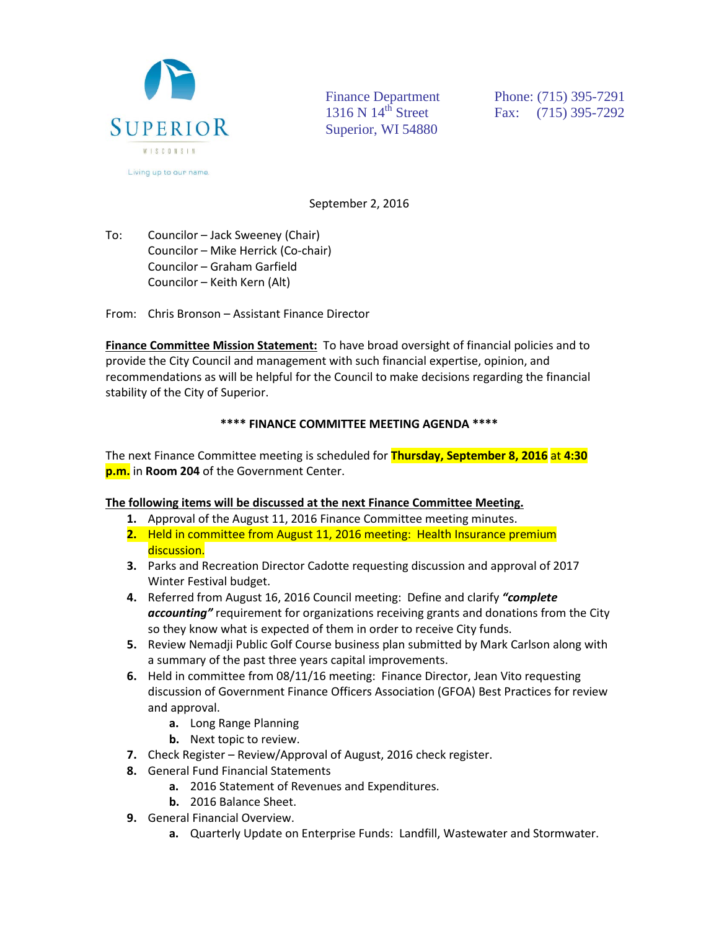

Superior, WI 54880

Finance Department<br>
1316 N 14<sup>th</sup> Street<br>
Fax: (715) 395-7292 Fax: (715) 395-7292

September 2, 2016

To: Councilor – Jack Sweeney (Chair) Councilor – Mike Herrick (Co-chair) Councilor – Graham Garfield Councilor – Keith Kern (Alt)

From: Chris Bronson – Assistant Finance Director

**Finance Committee Mission Statement:** To have broad oversight of financial policies and to provide the City Council and management with such financial expertise, opinion, and recommendations as will be helpful for the Council to make decisions regarding the financial stability of the City of Superior.

## **\*\*\*\* FINANCE COMMITTEE MEETING AGENDA \*\*\*\***

The next Finance Committee meeting is scheduled for **Thursday, September 8, 2016** at **4:30 p.m.** in **Room 204** of the Government Center.

## **The following items will be discussed at the next Finance Committee Meeting.**

- **1.** Approval of the August 11, 2016 Finance Committee meeting minutes.
- **2.** Held in committee from August 11, 2016 meeting: Health Insurance premium discussion.
- **3.** Parks and Recreation Director Cadotte requesting discussion and approval of 2017 Winter Festival budget.
- **4.** Referred from August 16, 2016 Council meeting: Define and clarify *"complete accounting"* requirement for organizations receiving grants and donations from the City so they know what is expected of them in order to receive City funds.
- **5.** Review Nemadji Public Golf Course business plan submitted by Mark Carlson along with a summary of the past three years capital improvements.
- **6.** Held in committee from 08/11/16 meeting: Finance Director, Jean Vito requesting discussion of Government Finance Officers Association (GFOA) Best Practices for review and approval.
	- **a.** Long Range Planning
	- **b.** Next topic to review.
- **7.** Check Register Review/Approval of August, 2016 check register.
- **8.** General Fund Financial Statements
	- **a.** 2016 Statement of Revenues and Expenditures.
	- **b.** 2016 Balance Sheet.
- **9.** General Financial Overview.
	- **a.** Quarterly Update on Enterprise Funds: Landfill, Wastewater and Stormwater.